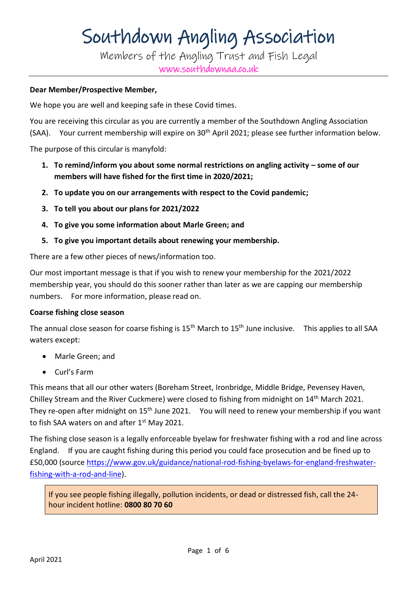Members of the Angling Trust and Fish Legal www.southdownaa.co.uk

#### **Dear Member/Prospective Member,**

We hope you are well and keeping safe in these Covid times.

You are receiving this circular as you are currently a member of the Southdown Angling Association (SAA). Your current membership will expire on 30<sup>th</sup> April 2021; please see further information below.

The purpose of this circular is manyfold:

- **1. To remind/inform you about some normal restrictions on angling activity – some of our members will have fished for the first time in 2020/2021;**
- **2. To update you on our arrangements with respect to the Covid pandemic;**
- **3. To tell you about our plans for 2021/2022**
- **4. To give you some information about Marle Green; and**
- **5. To give you important details about renewing your membership.**

There are a few other pieces of news/information too.

Our most important message is that if you wish to renew your membership for the 2021/2022 membership year, you should do this sooner rather than later as we are capping our membership numbers. For more information, please read on.

#### **Coarse fishing close season**

The annual close season for coarse fishing is  $15<sup>th</sup>$  March to  $15<sup>th</sup>$  June inclusive. This applies to all SAA waters except:

- Marle Green; and
- Curl's Farm

This means that all our other waters (Boreham Street, Ironbridge, Middle Bridge, Pevensey Haven, Chilley Stream and the River Cuckmere) were closed to fishing from midnight on 14th March 2021. They re-open after midnight on 15<sup>th</sup> June 2021. You will need to renew your membership if you want to fish SAA waters on and after 1<sup>st</sup> May 2021.

The fishing close season is a legally enforceable byelaw for freshwater fishing with a rod and line across England. If you are caught fishing during this period you could face prosecution and be fined up to £50,000 (source [https://www.gov.uk/guidance/national-rod-fishing-byelaws-for-england-freshwater](https://www.gov.uk/guidance/national-rod-fishing-byelaws-for-england-freshwater-fishing-with-a-rod-and-line)[fishing-with-a-rod-and-line\)](https://www.gov.uk/guidance/national-rod-fishing-byelaws-for-england-freshwater-fishing-with-a-rod-and-line).

If you see people fishing illegally, pollution incidents, or dead or distressed fish, call the 24 hour incident hotline: **0800 80 70 60**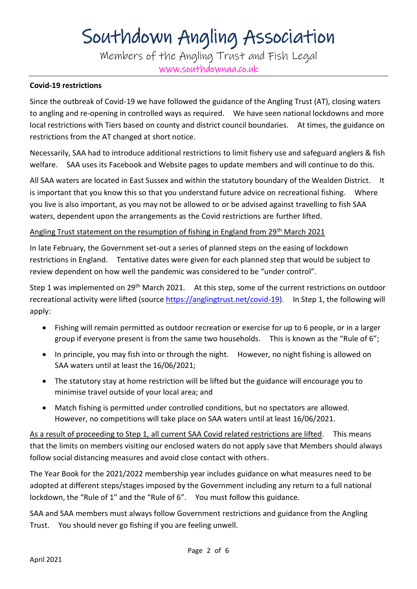Members of the Angling Trust and Fish Legal www.southdownaa.co.uk

#### **Covid-19 restrictions**

Since the outbreak of Covid-19 we have followed the guidance of the Angling Trust (AT), closing waters to angling and re-opening in controlled ways as required. We have seen national lockdowns and more local restrictions with Tiers based on county and district council boundaries. At times, the guidance on restrictions from the AT changed at short notice.

Necessarily, SAA had to introduce additional restrictions to limit fishery use and safeguard anglers & fish welfare. SAA uses its Facebook and Website pages to update members and will continue to do this.

All SAA waters are located in East Sussex and within the statutory boundary of the Wealden District. It is important that you know this so that you understand future advice on recreational fishing. Where you live is also important, as you may not be allowed to or be advised against travelling to fish SAA waters, dependent upon the arrangements as the Covid restrictions are further lifted.

#### Angling Trust statement on the resumption of fishing in England from 29<sup>th</sup> March 2021

In late February, the Government set-out a series of planned steps on the easing of lockdown restrictions in England. Tentative dates were given for each planned step that would be subject to review dependent on how well the pandemic was considered to be "under control".

Step 1 was implemented on 29<sup>th</sup> March 2021. At this step, some of the current restrictions on outdoor recreational activity were lifted (sourc[e https://anglingtrust.net/covid-19\)](https://anglingtrust.net/covid-19). In Step 1, the following will apply:

- Fishing will remain permitted as outdoor recreation or exercise for up to 6 people, or in a larger group if everyone present is from the same two households. This is known as the "Rule of 6";
- In principle, you may fish into or through the night. However, no night fishing is allowed on SAA waters until at least the 16/06/2021;
- The statutory stay at home restriction will be lifted but the guidance will encourage you to minimise travel outside of your local area; and
- Match fishing is permitted under controlled conditions, but no spectators are allowed. However, no competitions will take place on SAA waters until at least 16/06/2021.

As a result of proceeding to Step 1, all current SAA Covid related restrictions are lifted. This means that the limits on members visiting our enclosed waters do not apply save that Members should always follow social distancing measures and avoid close contact with others.

The Year Book for the 2021/2022 membership year includes guidance on what measures need to be adopted at different steps/stages imposed by the Government including any return to a full national lockdown, the "Rule of 1" and the "Rule of 6". You must follow this guidance.

SAA and SAA members must always follow Government restrictions and guidance from the Angling Trust. You should never go fishing if you are feeling unwell.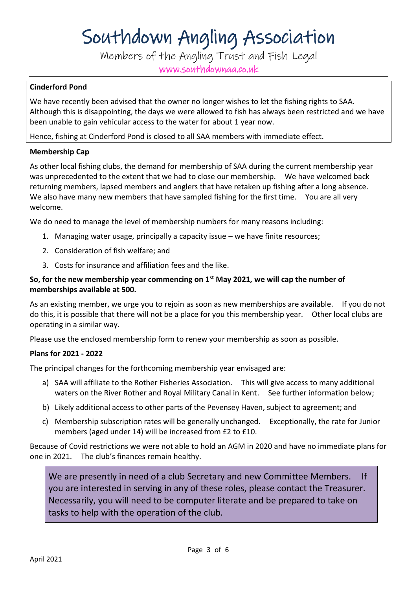Members of the Angling Trust and Fish Legal www.southdownaa.co.uk

### **Cinderford Pond**

We have recently been advised that the owner no longer wishes to let the fishing rights to SAA. Although this is disappointing, the days we were allowed to fish has always been restricted and we have been unable to gain vehicular access to the water for about 1 year now.

Hence, fishing at Cinderford Pond is closed to all SAA members with immediate effect.

#### **Membership Cap**

As other local fishing clubs, the demand for membership of SAA during the current membership year was unprecedented to the extent that we had to close our membership. We have welcomed back returning members, lapsed members and anglers that have retaken up fishing after a long absence. We also have many new members that have sampled fishing for the first time. You are all very welcome.

We do need to manage the level of membership numbers for many reasons including:

- 1. Managing water usage, principally a capacity issue we have finite resources;
- 2. Consideration of fish welfare; and
- 3. Costs for insurance and affiliation fees and the like.

## **So, for the new membership year commencing on 1st May 2021, we will cap the number of memberships available at 500.**

As an existing member, we urge you to rejoin as soon as new memberships are available. If you do not do this, it is possible that there will not be a place for you this membership year. Other local clubs are operating in a similar way.

Please use the enclosed membership form to renew your membership as soon as possible.

#### **Plans for 2021 - 2022**

The principal changes for the forthcoming membership year envisaged are:

- a) SAA will affiliate to the Rother Fisheries Association. This will give access to many additional waters on the River Rother and Royal Military Canal in Kent. See further information below;
- b) Likely additional access to other parts of the Pevensey Haven, subject to agreement; and
- c) Membership subscription rates will be generally unchanged. Exceptionally, the rate for Junior members (aged under 14) will be increased from £2 to £10.

Because of Covid restrictions we were not able to hold an AGM in 2020 and have no immediate plans for one in 2021. The club's finances remain healthy.

We are presently in need of a club Secretary and new Committee Members. If you are interested in serving in any of these roles, please contact the Treasurer. Necessarily, you will need to be computer literate and be prepared to take on tasks to help with the operation of the club.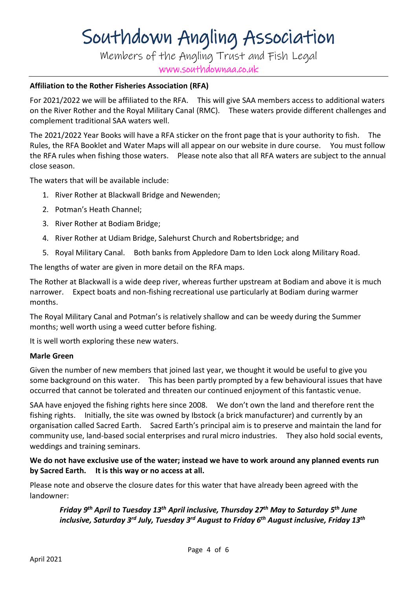Members of the Angling Trust and Fish Legal www.southdownaa.co.uk

#### **Affiliation to the Rother Fisheries Association (RFA)**

For 2021/2022 we will be affiliated to the RFA. This will give SAA members access to additional waters on the River Rother and the Royal Military Canal (RMC). These waters provide different challenges and complement traditional SAA waters well.

The 2021/2022 Year Books will have a RFA sticker on the front page that is your authority to fish. The Rules, the RFA Booklet and Water Maps will all appear on our website in dure course. You must follow the RFA rules when fishing those waters. Please note also that all RFA waters are subject to the annual close season.

The waters that will be available include:

- 1. River Rother at Blackwall Bridge and Newenden;
- 2. Potman's Heath Channel;
- 3. River Rother at Bodiam Bridge;
- 4. River Rother at Udiam Bridge, Salehurst Church and Robertsbridge; and
- 5. Royal Military Canal. Both banks from Appledore Dam to Iden Lock along Military Road.

The lengths of water are given in more detail on the RFA maps.

The Rother at Blackwall is a wide deep river, whereas further upstream at Bodiam and above it is much narrower. Expect boats and non-fishing recreational use particularly at Bodiam during warmer months.

The Royal Military Canal and Potman's is relatively shallow and can be weedy during the Summer months; well worth using a weed cutter before fishing.

It is well worth exploring these new waters.

#### **Marle Green**

Given the number of new members that joined last year, we thought it would be useful to give you some background on this water. This has been partly prompted by a few behavioural issues that have occurred that cannot be tolerated and threaten our continued enjoyment of this fantastic venue.

SAA have enjoyed the fishing rights here since 2008. We don't own the land and therefore rent the fishing rights. Initially, the site was owned by Ibstock (a brick manufacturer) and currently by an organisation called Sacred Earth. Sacred Earth's principal aim is to preserve and maintain the land for community use, land-based social enterprises and rural micro industries. They also hold social events, weddings and training seminars.

## **We do not have exclusive use of the water; instead we have to work around any planned events run by Sacred Earth. It is this way or no access at all.**

Please note and observe the closure dates for this water that have already been agreed with the landowner:

*Friday 9th April to Tuesday 13th April inclusive, Thursday 27th May to Saturday 5 th June inclusive, Saturday 3rd July, Tuesday 3rd August to Friday 6th August inclusive, Friday 13th*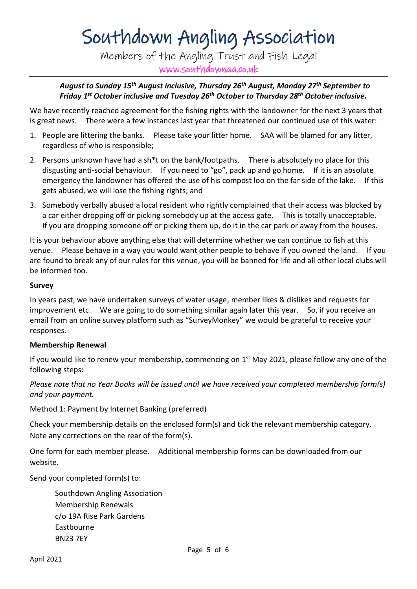Members of the Angling Trust and Fish Legal www.southdownaa.co.uk

## *August to Sunday 15th August inclusive, Thursday 26th August, Monday 27th September to Friday 1st October inclusive and Tuesday 26th October to Thursday 28th October inclusive.*

We have recently reached agreement for the fishing rights with the landowner for the next 3 years that is great news. There were a few instances last year that threatened our continued use of this water:

- 1. People are littering the banks. Please take your litter home. SAA will be blamed for any litter, regardless of who is responsible;
- 2. Persons unknown have had a sh<sup>\*</sup>t on the bank/footpaths. There is absolutely no place for this disgusting anti-social behaviour. If you need to "go", pack up and go home. If it is an absolute emergency the landowner has offered the use of his compost loo on the far side of the lake. If this gets abused, we will lose the fishing rights; and
- 3. Somebody verbally abused a local resident who rightly complained that their access was blocked by a car either dropping off or picking somebody up at the access gate. This is totally unacceptable. If you are dropping someone off or picking them up, do it in the car park or away from the houses.

It is your behaviour above anything else that will determine whether we can continue to fish at this venue. Please behave in a way you would want other people to behave if you owned the land. If you are found to break any of our rules for this venue, you will be banned for life and all other local clubs will be informed too.

#### **Survey**

In years past, we have undertaken surveys of water usage, member likes & dislikes and requests for improvement etc. We are going to do something similar again later this year. So, if you receive an email from an online survey platform such as "SurveyMonkey" we would be grateful to receive your responses.

## **Membership Renewal**

If you would like to renew your membership, commencing on  $1<sup>st</sup>$  May 2021, please follow any one of the following steps:

*Please note that no Year Books will be issued until we have received your completed membership form(s) and your payment.*

## Method 1: Payment by Internet Banking (preferred)

Check your membership details on the enclosed form(s) and tick the relevant membership category. Note any corrections on the rear of the form(s).

One form for each member please. Additional membership forms can be downloaded from our website.

Send your completed form(s) to:

Southdown Angling Association Membership Renewals c/o 19A Rise Park Gardens Eastbourne BN23 7EY